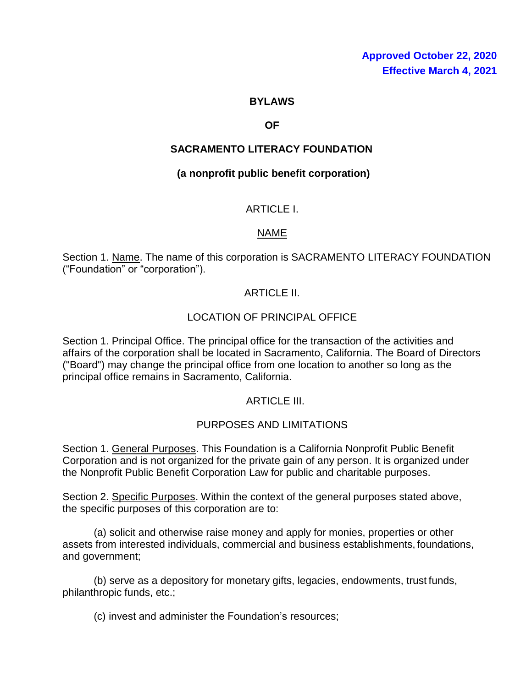#### **BYLAWS**

#### **OF**

### **SACRAMENTO LITERACY FOUNDATION**

#### **(a nonprofit public benefit corporation)**

### ARTICLE I.

### NAME

Section 1. Name. The name of this corporation is SACRAMENTO LITERACY FOUNDATION ("Foundation" or "corporation").

### ARTICLE II.

### LOCATION OF PRINCIPAL OFFICE

Section 1. Principal Office. The principal office for the transaction of the activities and affairs of the corporation shall be located in Sacramento, California. The Board of Directors ("Board") may change the principal office from one location to another so long as the principal office remains in Sacramento, California.

#### ARTICLE III.

#### PURPOSES AND LIMITATIONS

Section 1. General Purposes. This Foundation is a California Nonprofit Public Benefit Corporation and is not organized for the private gain of any person. It is organized under the Nonprofit Public Benefit Corporation Law for public and charitable purposes.

Section 2. Specific Purposes. Within the context of the general purposes stated above, the specific purposes of this corporation are to:

(a) solicit and otherwise raise money and apply for monies, properties or other assets from interested individuals, commercial and business establishments, foundations, and government;

(b) serve as a depository for monetary gifts, legacies, endowments, trust funds, philanthropic funds, etc.;

(c) invest and administer the Foundation's resources;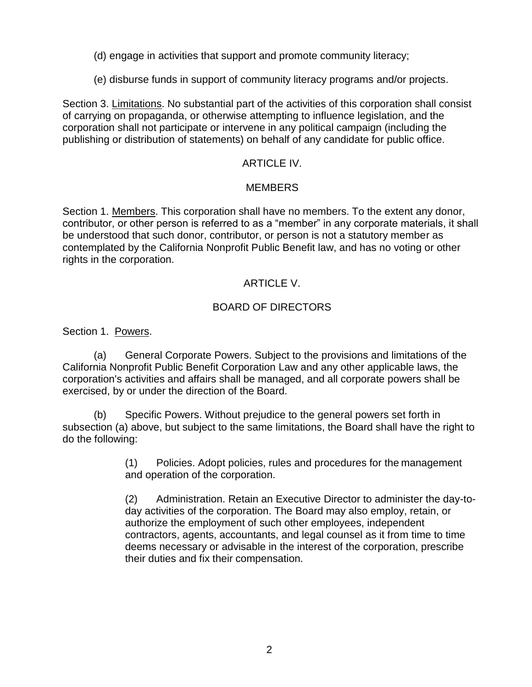- (d) engage in activities that support and promote community literacy;
- (e) disburse funds in support of community literacy programs and/or projects.

Section 3. Limitations. No substantial part of the activities of this corporation shall consist of carrying on propaganda, or otherwise attempting to influence legislation, and the corporation shall not participate or intervene in any political campaign (including the publishing or distribution of statements) on behalf of any candidate for public office.

## ARTICLE IV.

### MEMBERS

Section 1. Members. This corporation shall have no members. To the extent any donor, contributor, or other person is referred to as a "member" in any corporate materials, it shall be understood that such donor, contributor, or person is not a statutory member as contemplated by the California Nonprofit Public Benefit law, and has no voting or other rights in the corporation.

## ARTICLE V.

## BOARD OF DIRECTORS

Section 1. Powers.

(a) General Corporate Powers. Subject to the provisions and limitations of the California Nonprofit Public Benefit Corporation Law and any other applicable laws, the corporation's activities and affairs shall be managed, and all corporate powers shall be exercised, by or under the direction of the Board.

(b) Specific Powers. Without prejudice to the general powers set forth in subsection (a) above, but subject to the same limitations, the Board shall have the right to do the following:

> (1) Policies. Adopt policies, rules and procedures for the management and operation of the corporation.

(2) Administration. Retain an Executive Director to administer the day-today activities of the corporation. The Board may also employ, retain, or authorize the employment of such other employees, independent contractors, agents, accountants, and legal counsel as it from time to time deems necessary or advisable in the interest of the corporation, prescribe their duties and fix their compensation.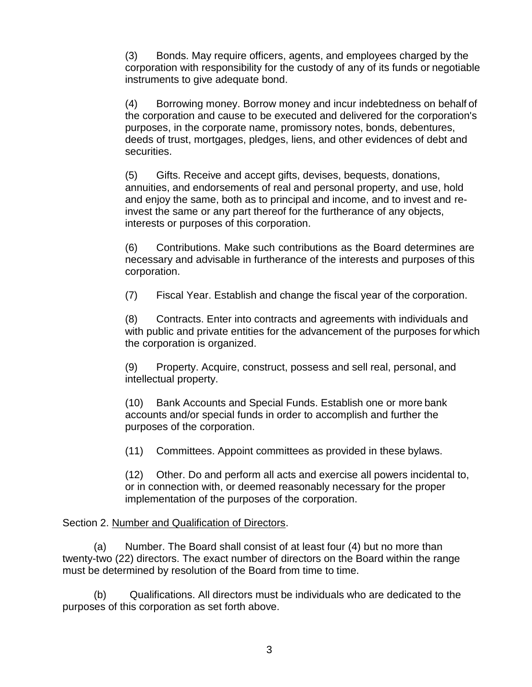(3) Bonds. May require officers, agents, and employees charged by the corporation with responsibility for the custody of any of its funds or negotiable instruments to give adequate bond.

(4) Borrowing money. Borrow money and incur indebtedness on behalf of the corporation and cause to be executed and delivered for the corporation's purposes, in the corporate name, promissory notes, bonds, debentures, deeds of trust, mortgages, pledges, liens, and other evidences of debt and securities.

(5) Gifts. Receive and accept gifts, devises, bequests, donations, annuities, and endorsements of real and personal property, and use, hold and enjoy the same, both as to principal and income, and to invest and reinvest the same or any part thereof for the furtherance of any objects, interests or purposes of this corporation.

(6) Contributions. Make such contributions as the Board determines are necessary and advisable in furtherance of the interests and purposes of this corporation.

(7) Fiscal Year. Establish and change the fiscal year of the corporation.

(8) Contracts. Enter into contracts and agreements with individuals and with public and private entities for the advancement of the purposes for which the corporation is organized.

(9) Property. Acquire, construct, possess and sell real, personal, and intellectual property.

(10) Bank Accounts and Special Funds. Establish one or more bank accounts and/or special funds in order to accomplish and further the purposes of the corporation.

(11) Committees. Appoint committees as provided in these bylaws.

(12) Other. Do and perform all acts and exercise all powers incidental to, or in connection with, or deemed reasonably necessary for the proper implementation of the purposes of the corporation.

#### Section 2. Number and Qualification of Directors.

(a) Number. The Board shall consist of at least four (4) but no more than twenty-two (22) directors. The exact number of directors on the Board within the range must be determined by resolution of the Board from time to time.

(b) Qualifications. All directors must be individuals who are dedicated to the purposes of this corporation as set forth above.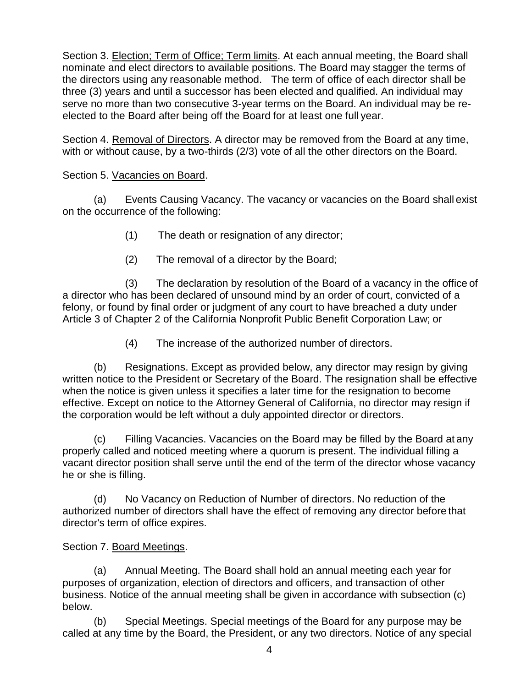Section 3. Election; Term of Office; Term limits. At each annual meeting, the Board shall nominate and elect directors to available positions. The Board may stagger the terms of the directors using any reasonable method. The term of office of each director shall be three (3) years and until a successor has been elected and qualified. An individual may serve no more than two consecutive 3-year terms on the Board. An individual may be reelected to the Board after being off the Board for at least one full year.

Section 4. Removal of Directors. A director may be removed from the Board at any time, with or without cause, by a two-thirds (2/3) vote of all the other directors on the Board.

Section 5. Vacancies on Board.

(a) Events Causing Vacancy. The vacancy or vacancies on the Board shall exist on the occurrence of the following:

- (1) The death or resignation of any director;
- (2) The removal of a director by the Board;

(3) The declaration by resolution of the Board of a vacancy in the office of a director who has been declared of unsound mind by an order of court, convicted of a felony, or found by final order or judgment of any court to have breached a duty under Article 3 of Chapter 2 of the California Nonprofit Public Benefit Corporation Law; or

(4) The increase of the authorized number of directors.

(b) Resignations. Except as provided below, any director may resign by giving written notice to the President or Secretary of the Board. The resignation shall be effective when the notice is given unless it specifies a later time for the resignation to become effective. Except on notice to the Attorney General of California, no director may resign if the corporation would be left without a duly appointed director or directors.

(c) Filling Vacancies. Vacancies on the Board may be filled by the Board at any properly called and noticed meeting where a quorum is present. The individual filling a vacant director position shall serve until the end of the term of the director whose vacancy he or she is filling.

(d) No Vacancy on Reduction of Number of directors. No reduction of the authorized number of directors shall have the effect of removing any director before that director's term of office expires.

Section 7. Board Meetings.

(a) Annual Meeting. The Board shall hold an annual meeting each year for purposes of organization, election of directors and officers, and transaction of other business. Notice of the annual meeting shall be given in accordance with subsection (c) below.

(b) Special Meetings. Special meetings of the Board for any purpose may be called at any time by the Board, the President, or any two directors. Notice of any special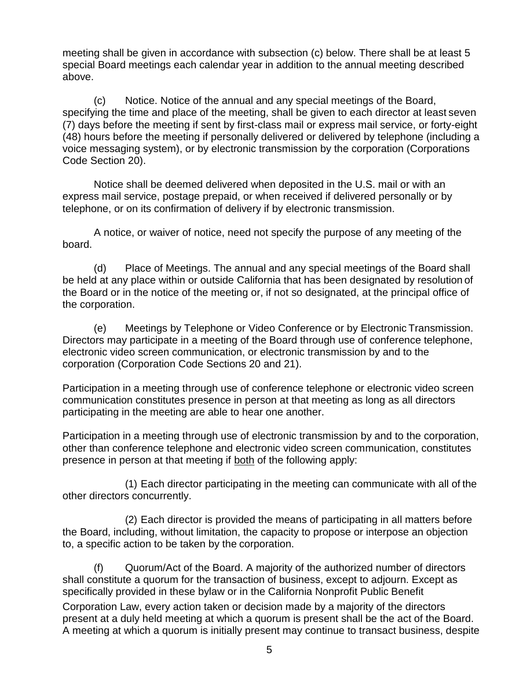meeting shall be given in accordance with subsection (c) below. There shall be at least 5 special Board meetings each calendar year in addition to the annual meeting described above.

(c) Notice. Notice of the annual and any special meetings of the Board, specifying the time and place of the meeting, shall be given to each director at least seven (7) days before the meeting if sent by first-class mail or express mail service, or forty-eight (48) hours before the meeting if personally delivered or delivered by telephone (including a voice messaging system), or by electronic transmission by the corporation (Corporations Code Section 20).

Notice shall be deemed delivered when deposited in the U.S. mail or with an express mail service, postage prepaid, or when received if delivered personally or by telephone, or on its confirmation of delivery if by electronic transmission.

A notice, or waiver of notice, need not specify the purpose of any meeting of the board.

(d) Place of Meetings. The annual and any special meetings of the Board shall be held at any place within or outside California that has been designated by resolution of the Board or in the notice of the meeting or, if not so designated, at the principal office of the corporation.

(e) Meetings by Telephone or Video Conference or by Electronic Transmission. Directors may participate in a meeting of the Board through use of conference telephone, electronic video screen communication, or electronic transmission by and to the corporation (Corporation Code Sections 20 and 21).

Participation in a meeting through use of conference telephone or electronic video screen communication constitutes presence in person at that meeting as long as all directors participating in the meeting are able to hear one another.

Participation in a meeting through use of electronic transmission by and to the corporation, other than conference telephone and electronic video screen communication, constitutes presence in person at that meeting if both of the following apply:

(1) Each director participating in the meeting can communicate with all of the other directors concurrently.

(2) Each director is provided the means of participating in all matters before the Board, including, without limitation, the capacity to propose or interpose an objection to, a specific action to be taken by the corporation.

(f) Quorum/Act of the Board. A majority of the authorized number of directors shall constitute a quorum for the transaction of business, except to adjourn. Except as specifically provided in these bylaw or in the California Nonprofit Public Benefit

Corporation Law, every action taken or decision made by a majority of the directors present at a duly held meeting at which a quorum is present shall be the act of the Board. A meeting at which a quorum is initially present may continue to transact business, despite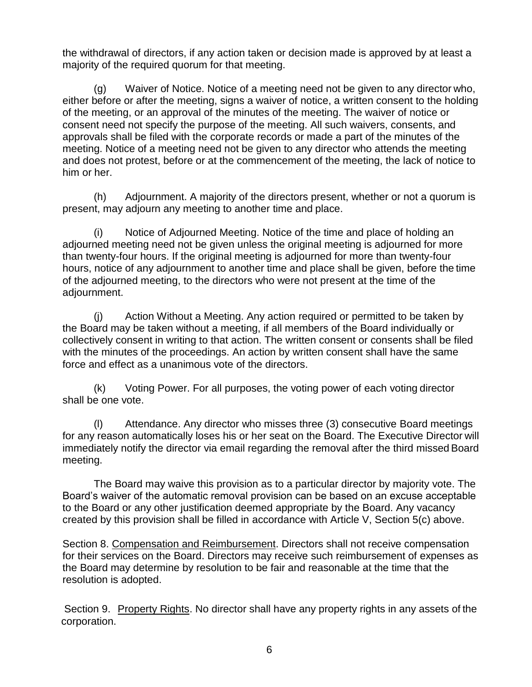the withdrawal of directors, if any action taken or decision made is approved by at least a majority of the required quorum for that meeting.

(g) Waiver of Notice. Notice of a meeting need not be given to any director who, either before or after the meeting, signs a waiver of notice, a written consent to the holding of the meeting, or an approval of the minutes of the meeting. The waiver of notice or consent need not specify the purpose of the meeting. All such waivers, consents, and approvals shall be filed with the corporate records or made a part of the minutes of the meeting. Notice of a meeting need not be given to any director who attends the meeting and does not protest, before or at the commencement of the meeting, the lack of notice to him or her.

(h) Adjournment. A majority of the directors present, whether or not a quorum is present, may adjourn any meeting to another time and place.

(i) Notice of Adjourned Meeting. Notice of the time and place of holding an adjourned meeting need not be given unless the original meeting is adjourned for more than twenty-four hours. If the original meeting is adjourned for more than twenty-four hours, notice of any adjournment to another time and place shall be given, before the time of the adjourned meeting, to the directors who were not present at the time of the adjournment.

(j) Action Without a Meeting. Any action required or permitted to be taken by the Board may be taken without a meeting, if all members of the Board individually or collectively consent in writing to that action. The written consent or consents shall be filed with the minutes of the proceedings. An action by written consent shall have the same force and effect as a unanimous vote of the directors.

(k) Voting Power. For all purposes, the voting power of each voting director shall be one vote.

(l) Attendance. Any director who misses three (3) consecutive Board meetings for any reason automatically loses his or her seat on the Board. The Executive Director will immediately notify the director via email regarding the removal after the third missed Board meeting.

The Board may waive this provision as to a particular director by majority vote. The Board's waiver of the automatic removal provision can be based on an excuse acceptable to the Board or any other justification deemed appropriate by the Board. Any vacancy created by this provision shall be filled in accordance with Article V, Section 5(c) above.

Section 8. Compensation and Reimbursement. Directors shall not receive compensation for their services on the Board. Directors may receive such reimbursement of expenses as the Board may determine by resolution to be fair and reasonable at the time that the resolution is adopted.

Section 9. Property Rights. No director shall have any property rights in any assets of the corporation.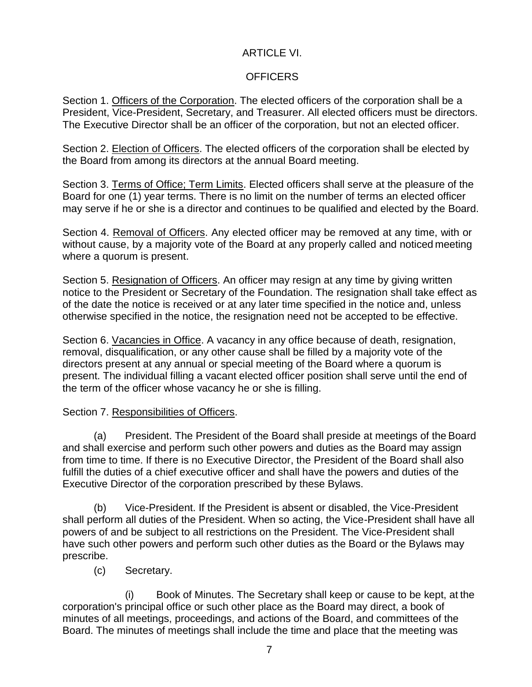# ARTICLE VI.

## **OFFICERS**

Section 1. Officers of the Corporation. The elected officers of the corporation shall be a President, Vice-President, Secretary, and Treasurer. All elected officers must be directors. The Executive Director shall be an officer of the corporation, but not an elected officer.

Section 2. Election of Officers. The elected officers of the corporation shall be elected by the Board from among its directors at the annual Board meeting.

Section 3. Terms of Office; Term Limits. Elected officers shall serve at the pleasure of the Board for one (1) year terms. There is no limit on the number of terms an elected officer may serve if he or she is a director and continues to be qualified and elected by the Board.

Section 4. Removal of Officers. Any elected officer may be removed at any time, with or without cause, by a majority vote of the Board at any properly called and noticed meeting where a quorum is present.

Section 5. Resignation of Officers. An officer may resign at any time by giving written notice to the President or Secretary of the Foundation. The resignation shall take effect as of the date the notice is received or at any later time specified in the notice and, unless otherwise specified in the notice, the resignation need not be accepted to be effective.

Section 6. Vacancies in Office. A vacancy in any office because of death, resignation, removal, disqualification, or any other cause shall be filled by a majority vote of the directors present at any annual or special meeting of the Board where a quorum is present. The individual filling a vacant elected officer position shall serve until the end of the term of the officer whose vacancy he or she is filling.

## Section 7. Responsibilities of Officers.

(a) President. The President of the Board shall preside at meetings of the Board and shall exercise and perform such other powers and duties as the Board may assign from time to time. If there is no Executive Director, the President of the Board shall also fulfill the duties of a chief executive officer and shall have the powers and duties of the Executive Director of the corporation prescribed by these Bylaws.

(b) Vice-President. If the President is absent or disabled, the Vice-President shall perform all duties of the President. When so acting, the Vice-President shall have all powers of and be subject to all restrictions on the President. The Vice-President shall have such other powers and perform such other duties as the Board or the Bylaws may prescribe.

(c) Secretary.

(i) Book of Minutes. The Secretary shall keep or cause to be kept, at the corporation's principal office or such other place as the Board may direct, a book of minutes of all meetings, proceedings, and actions of the Board, and committees of the Board. The minutes of meetings shall include the time and place that the meeting was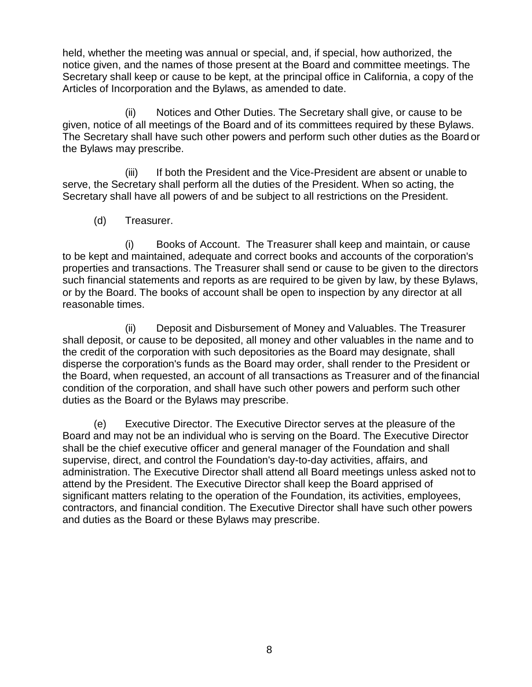held, whether the meeting was annual or special, and, if special, how authorized, the notice given, and the names of those present at the Board and committee meetings. The Secretary shall keep or cause to be kept, at the principal office in California, a copy of the Articles of Incorporation and the Bylaws, as amended to date.

(ii) Notices and Other Duties. The Secretary shall give, or cause to be given, notice of all meetings of the Board and of its committees required by these Bylaws. The Secretary shall have such other powers and perform such other duties as the Board or the Bylaws may prescribe.

(iii) If both the President and the Vice-President are absent or unable to serve, the Secretary shall perform all the duties of the President. When so acting, the Secretary shall have all powers of and be subject to all restrictions on the President.

(d) Treasurer.

(i) Books of Account. The Treasurer shall keep and maintain, or cause to be kept and maintained, adequate and correct books and accounts of the corporation's properties and transactions. The Treasurer shall send or cause to be given to the directors such financial statements and reports as are required to be given by law, by these Bylaws, or by the Board. The books of account shall be open to inspection by any director at all reasonable times.

(ii) Deposit and Disbursement of Money and Valuables. The Treasurer shall deposit, or cause to be deposited, all money and other valuables in the name and to the credit of the corporation with such depositories as the Board may designate, shall disperse the corporation's funds as the Board may order, shall render to the President or the Board, when requested, an account of all transactions as Treasurer and of the financial condition of the corporation, and shall have such other powers and perform such other duties as the Board or the Bylaws may prescribe.

(e) Executive Director. The Executive Director serves at the pleasure of the Board and may not be an individual who is serving on the Board. The Executive Director shall be the chief executive officer and general manager of the Foundation and shall supervise, direct, and control the Foundation's day-to-day activities, affairs, and administration. The Executive Director shall attend all Board meetings unless asked not to attend by the President. The Executive Director shall keep the Board apprised of significant matters relating to the operation of the Foundation, its activities, employees, contractors, and financial condition. The Executive Director shall have such other powers and duties as the Board or these Bylaws may prescribe.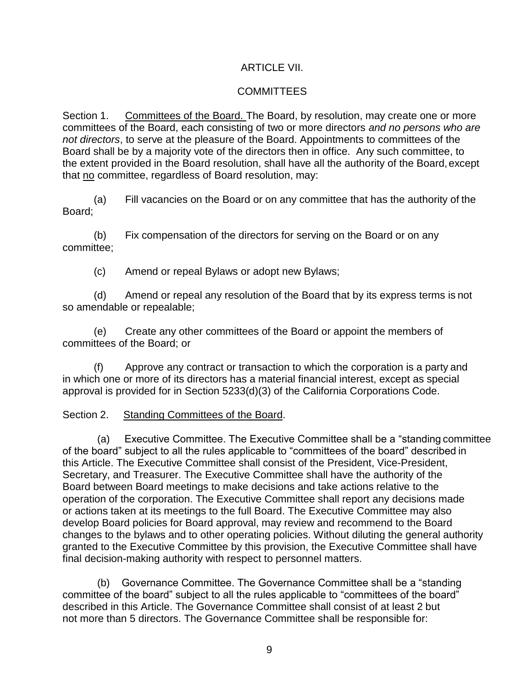## ARTICLE VII.

## **COMMITTEES**

Section 1. Committees of the Board. The Board, by resolution, may create one or more committees of the Board, each consisting of two or more directors *and no persons who are not directors*, to serve at the pleasure of the Board. Appointments to committees of the Board shall be by a majority vote of the directors then in office. Any such committee, to the extent provided in the Board resolution, shall have all the authority of the Board,except that no committee, regardless of Board resolution, may:

(a) Fill vacancies on the Board or on any committee that has the authority of the Board;

(b) Fix compensation of the directors for serving on the Board or on any committee;

(c) Amend or repeal Bylaws or adopt new Bylaws;

(d) Amend or repeal any resolution of the Board that by its express terms is not so amendable or repealable;

(e) Create any other committees of the Board or appoint the members of committees of the Board; or

(f) Approve any contract or transaction to which the corporation is a party and in which one or more of its directors has a material financial interest, except as special approval is provided for in Section 5233(d)(3) of the California Corporations Code.

### Section 2. Standing Committees of the Board.

(a) Executive Committee. The Executive Committee shall be a "standing committee of the board" subject to all the rules applicable to "committees of the board" described in this Article. The Executive Committee shall consist of the President, Vice-President, Secretary, and Treasurer. The Executive Committee shall have the authority of the Board between Board meetings to make decisions and take actions relative to the operation of the corporation. The Executive Committee shall report any decisions made or actions taken at its meetings to the full Board. The Executive Committee may also develop Board policies for Board approval, may review and recommend to the Board changes to the bylaws and to other operating policies. Without diluting the general authority granted to the Executive Committee by this provision, the Executive Committee shall have final decision-making authority with respect to personnel matters.

(b) Governance Committee. The Governance Committee shall be a "standing committee of the board" subject to all the rules applicable to "committees of the board" described in this Article. The Governance Committee shall consist of at least 2 but not more than 5 directors. The Governance Committee shall be responsible for: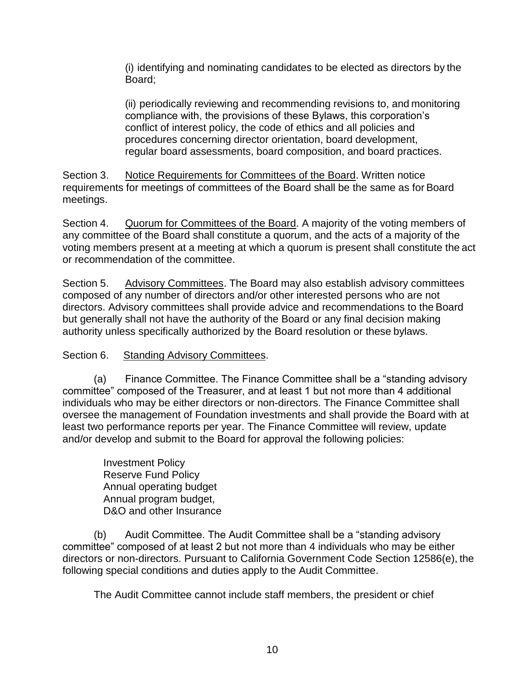(i) identifying and nominating candidates to be elected as directors by the Board;

(ii) periodically reviewing and recommending revisions to, and monitoring compliance with, the provisions of these Bylaws, this corporation's conflict of interest policy, the code of ethics and all policies and procedures concerning director orientation, board development, regular board assessments, board composition, and board practices.

Section 3. Notice Requirements for Committees of the Board. Written notice requirements for meetings of committees of the Board shall be the same as for Board meetings.

Section 4. Quorum for Committees of the Board. A majority of the voting members of any committee of the Board shall constitute a quorum, and the acts of a majority of the voting members present at a meeting at which a quorum is present shall constitute the act or recommendation of the committee.

Section 5. Advisory Committees. The Board may also establish advisory committees composed of any number of directors and/or other interested persons who are not directors. Advisory committees shall provide advice and recommendations to the Board but generally shall not have the authority of the Board or any final decision making authority unless specifically authorized by the Board resolution or these bylaws.

## Section 6. Standing Advisory Committees.

(a) Finance Committee. The Finance Committee shall be a "standing advisory committee" composed of the Treasurer, and at least 1 but not more than 4 additional individuals who may be either directors or non-directors. The Finance Committee shall oversee the management of Foundation investments and shall provide the Board with at least two performance reports per year. The Finance Committee will review, update and/or develop and submit to the Board for approval the following policies:

Investment Policy Reserve Fund Policy Annual operating budget Annual program budget, D&O and other Insurance

(b) Audit Committee. The Audit Committee shall be a "standing advisory committee" composed of at least 2 but not more than 4 individuals who may be either directors or non-directors. Pursuant to California Government Code Section 12586(e), the following special conditions and duties apply to the Audit Committee.

The Audit Committee cannot include staff members, the president or chief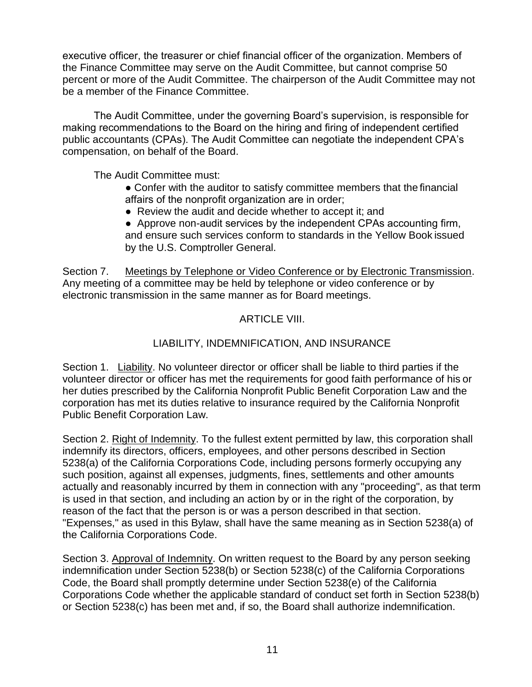executive officer, the treasurer or chief financial officer of the organization. Members of the Finance Committee may serve on the Audit Committee, but cannot comprise 50 percent or more of the Audit Committee. The chairperson of the Audit Committee may not be a member of the Finance Committee.

The Audit Committee, under the governing Board's supervision, is responsible for making recommendations to the Board on the hiring and firing of independent certified public accountants (CPAs). The Audit Committee can negotiate the independent CPA's compensation, on behalf of the Board.

The Audit Committee must:

- Confer with the auditor to satisfy committee members that the financial affairs of the nonprofit organization are in order;
- Review the audit and decide whether to accept it; and
- Approve non-audit services by the independent CPAs accounting firm, and ensure such services conform to standards in the Yellow Book issued by the U.S. Comptroller General.

Section 7. Meetings by Telephone or Video Conference or by Electronic Transmission. Any meeting of a committee may be held by telephone or video conference or by electronic transmission in the same manner as for Board meetings.

## ARTICLE VIII.

## LIABILITY, INDEMNIFICATION, AND INSURANCE

Section 1. Liability. No volunteer director or officer shall be liable to third parties if the volunteer director or officer has met the requirements for good faith performance of his or her duties prescribed by the California Nonprofit Public Benefit Corporation Law and the corporation has met its duties relative to insurance required by the California Nonprofit Public Benefit Corporation Law.

Section 2. Right of Indemnity. To the fullest extent permitted by law, this corporation shall indemnify its directors, officers, employees, and other persons described in Section 5238(a) of the California Corporations Code, including persons formerly occupying any such position, against all expenses, judgments, fines, settlements and other amounts actually and reasonably incurred by them in connection with any "proceeding", as that term is used in that section, and including an action by or in the right of the corporation, by reason of the fact that the person is or was a person described in that section. "Expenses," as used in this Bylaw, shall have the same meaning as in Section 5238(a) of the California Corporations Code.

Section 3. Approval of Indemnity. On written request to the Board by any person seeking indemnification under Section 5238(b) or Section 5238(c) of the California Corporations Code, the Board shall promptly determine under Section 5238(e) of the California Corporations Code whether the applicable standard of conduct set forth in Section 5238(b) or Section 5238(c) has been met and, if so, the Board shall authorize indemnification.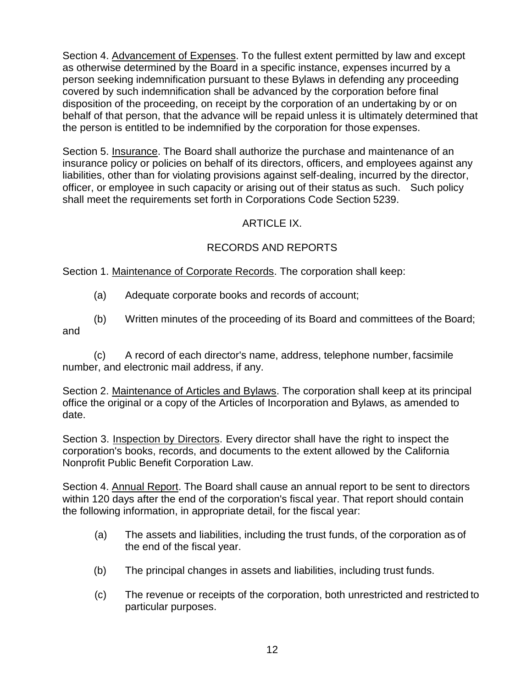Section 4. Advancement of Expenses. To the fullest extent permitted by law and except as otherwise determined by the Board in a specific instance, expenses incurred by a person seeking indemnification pursuant to these Bylaws in defending any proceeding covered by such indemnification shall be advanced by the corporation before final disposition of the proceeding, on receipt by the corporation of an undertaking by or on behalf of that person, that the advance will be repaid unless it is ultimately determined that the person is entitled to be indemnified by the corporation for those expenses.

Section 5. Insurance. The Board shall authorize the purchase and maintenance of an insurance policy or policies on behalf of its directors, officers, and employees against any liabilities, other than for violating provisions against self-dealing, incurred by the director, officer, or employee in such capacity or arising out of their status as such. Such policy shall meet the requirements set forth in Corporations Code Section 5239.

# ARTICLE IX.

# RECORDS AND REPORTS

Section 1. Maintenance of Corporate Records. The corporation shall keep:

- (a) Adequate corporate books and records of account;
- (b) Written minutes of the proceeding of its Board and committees of the Board; and

(c) A record of each director's name, address, telephone number, facsimile number, and electronic mail address, if any.

Section 2. Maintenance of Articles and Bylaws. The corporation shall keep at its principal office the original or a copy of the Articles of Incorporation and Bylaws, as amended to date.

Section 3. Inspection by Directors. Every director shall have the right to inspect the corporation's books, records, and documents to the extent allowed by the California Nonprofit Public Benefit Corporation Law.

Section 4. Annual Report. The Board shall cause an annual report to be sent to directors within 120 days after the end of the corporation's fiscal year. That report should contain the following information, in appropriate detail, for the fiscal year:

- (a) The assets and liabilities, including the trust funds, of the corporation as of the end of the fiscal year.
- (b) The principal changes in assets and liabilities, including trust funds.
- (c) The revenue or receipts of the corporation, both unrestricted and restricted to particular purposes.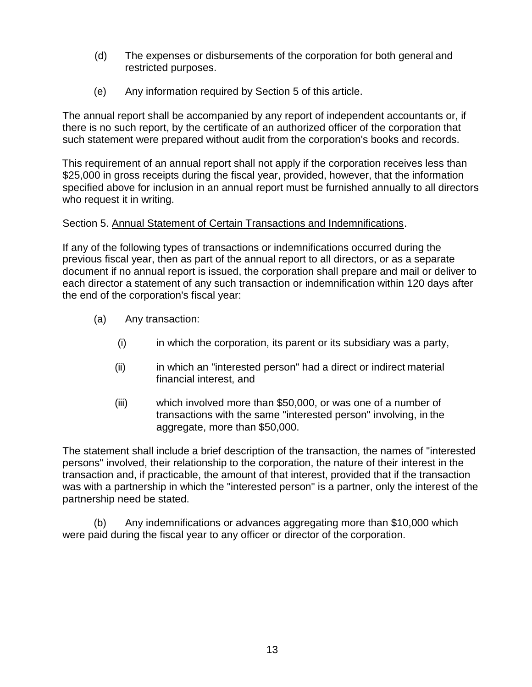- (d) The expenses or disbursements of the corporation for both general and restricted purposes.
- (e) Any information required by Section 5 of this article.

The annual report shall be accompanied by any report of independent accountants or, if there is no such report, by the certificate of an authorized officer of the corporation that such statement were prepared without audit from the corporation's books and records.

This requirement of an annual report shall not apply if the corporation receives less than \$25,000 in gross receipts during the fiscal year, provided, however, that the information specified above for inclusion in an annual report must be furnished annually to all directors who request it in writing.

## Section 5. Annual Statement of Certain Transactions and Indemnifications.

If any of the following types of transactions or indemnifications occurred during the previous fiscal year, then as part of the annual report to all directors, or as a separate document if no annual report is issued, the corporation shall prepare and mail or deliver to each director a statement of any such transaction or indemnification within 120 days after the end of the corporation's fiscal year:

- (a) Any transaction:
	- (i) in which the corporation, its parent or its subsidiary was a party,
	- (ii) in which an "interested person" had a direct or indirect material financial interest, and
	- (iii) which involved more than \$50,000, or was one of a number of transactions with the same "interested person" involving, in the aggregate, more than \$50,000.

The statement shall include a brief description of the transaction, the names of "interested persons" involved, their relationship to the corporation, the nature of their interest in the transaction and, if practicable, the amount of that interest, provided that if the transaction was with a partnership in which the "interested person" is a partner, only the interest of the partnership need be stated.

(b) Any indemnifications or advances aggregating more than \$10,000 which were paid during the fiscal year to any officer or director of the corporation.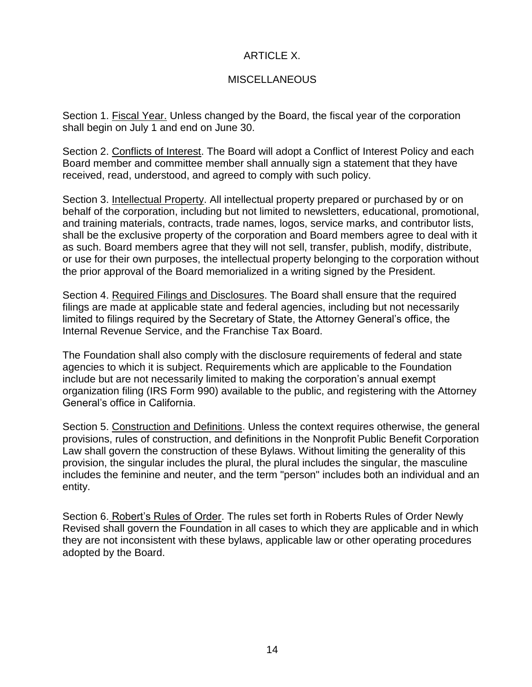## ARTICLE X.

## **MISCELLANEOUS**

Section 1. Fiscal Year. Unless changed by the Board, the fiscal year of the corporation shall begin on July 1 and end on June 30.

Section 2. Conflicts of Interest. The Board will adopt a Conflict of Interest Policy and each Board member and committee member shall annually sign a statement that they have received, read, understood, and agreed to comply with such policy.

Section 3. Intellectual Property. All intellectual property prepared or purchased by or on behalf of the corporation, including but not limited to newsletters, educational, promotional, and training materials, contracts, trade names, logos, service marks, and contributor lists, shall be the exclusive property of the corporation and Board members agree to deal with it as such. Board members agree that they will not sell, transfer, publish, modify, distribute, or use for their own purposes, the intellectual property belonging to the corporation without the prior approval of the Board memorialized in a writing signed by the President.

Section 4. Required Filings and Disclosures. The Board shall ensure that the required filings are made at applicable state and federal agencies, including but not necessarily limited to filings required by the Secretary of State, the Attorney General's office, the Internal Revenue Service, and the Franchise Tax Board.

The Foundation shall also comply with the disclosure requirements of federal and state agencies to which it is subject. Requirements which are applicable to the Foundation include but are not necessarily limited to making the corporation's annual exempt organization filing (IRS Form 990) available to the public, and registering with the Attorney General's office in California.

Section 5. Construction and Definitions. Unless the context requires otherwise, the general provisions, rules of construction, and definitions in the Nonprofit Public Benefit Corporation Law shall govern the construction of these Bylaws. Without limiting the generality of this provision, the singular includes the plural, the plural includes the singular, the masculine includes the feminine and neuter, and the term "person" includes both an individual and an entity.

Section 6. Robert's Rules of Order. The rules set forth in Roberts Rules of Order Newly Revised shall govern the Foundation in all cases to which they are applicable and in which they are not inconsistent with these bylaws, applicable law or other operating procedures adopted by the Board.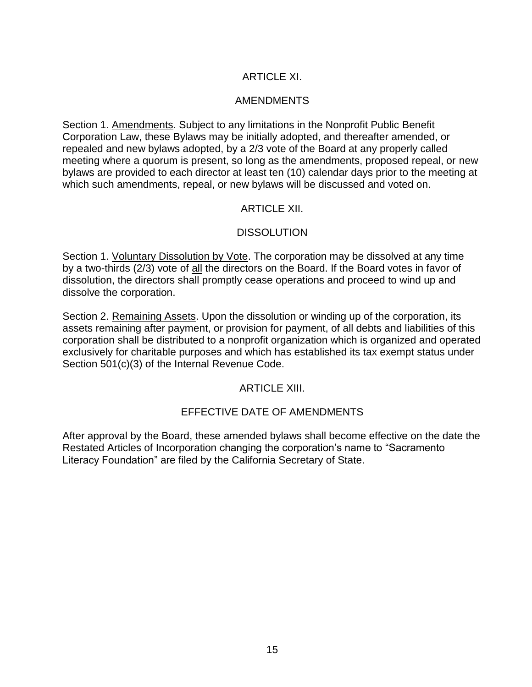## ARTICLE XI.

### AMENDMENTS

Section 1. Amendments. Subject to any limitations in the Nonprofit Public Benefit Corporation Law, these Bylaws may be initially adopted, and thereafter amended, or repealed and new bylaws adopted, by a 2/3 vote of the Board at any properly called meeting where a quorum is present, so long as the amendments, proposed repeal, or new bylaws are provided to each director at least ten (10) calendar days prior to the meeting at which such amendments, repeal, or new bylaws will be discussed and voted on.

### ARTICLE XII.

## **DISSOLUTION**

Section 1. Voluntary Dissolution by Vote. The corporation may be dissolved at any time by a two-thirds (2/3) vote of all the directors on the Board. If the Board votes in favor of dissolution, the directors shall promptly cease operations and proceed to wind up and dissolve the corporation.

Section 2. Remaining Assets. Upon the dissolution or winding up of the corporation, its assets remaining after payment, or provision for payment, of all debts and liabilities of this corporation shall be distributed to a nonprofit organization which is organized and operated exclusively for charitable purposes and which has established its tax exempt status under Section 501(c)(3) of the Internal Revenue Code.

### ARTICLE XIII.

### EFFECTIVE DATE OF AMENDMENTS

After approval by the Board, these amended bylaws shall become effective on the date the Restated Articles of Incorporation changing the corporation's name to "Sacramento Literacy Foundation" are filed by the California Secretary of State.